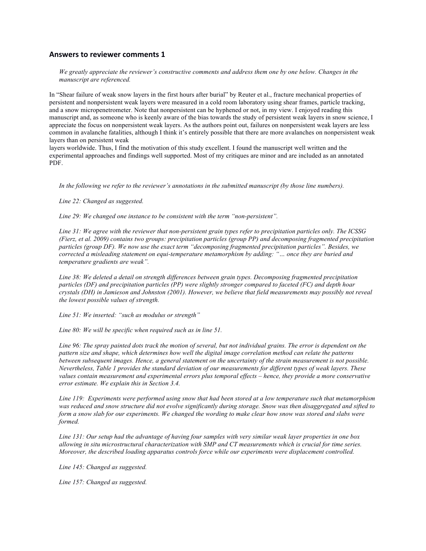## **Answers to reviewer comments 1**

*We greatly appreciate the reviewer's constructive comments and address them one by one below. Changes in the manuscript are referenced.*

In "Shear failure of weak snow layers in the first hours after burial" by Reuter et al., fracture mechanical properties of persistent and nonpersistent weak layers were measured in a cold room laboratory using shear frames, particle tracking, and a snow micropenetrometer. Note that nonpersistent can be hyphened or not, in my view. I enjoyed reading this manuscript and, as someone who is keenly aware of the bias towards the study of persistent weak layers in snow science, I appreciate the focus on nonpersistent weak layers. As the authors point out, failures on nonpersistent weak layers are less common in avalanche fatalities, although I think it's entirely possible that there are more avalanches on nonpersistent weak layers than on persistent weak

layers worldwide. Thus, I find the motivation of this study excellent. I found the manuscript well written and the experimental approaches and findings well supported. Most of my critiques are minor and are included as an annotated PDF.

*In the following we refer to the reviewer's annotations in the submitted manuscript (by those line numbers).*

*Line 22: Changed as suggested.*

*Line 29: We changed one instance to be consistent with the term "non-persistent".*

*Line 31: We agree with the reviewer that non-persistent grain types refer to precipitation particles only. The ICSSG (Fierz, et al. 2009) contains two groups: precipitation particles (group PP) and decomposing fragmented precipitation particles (group DF). We now use the exact term "decomposing fragmented precipitation particles". Besides, we corrected a misleading statement on equi-temperature metamorphism by adding: "… once they are buried and temperature gradients are weak".*

*Line 38: We deleted a detail on strength differences between grain types. Decomposing fragmented precipitation particles (DF) and precipitation particles (PP) were slightly stronger compared to faceted (FC) and depth hoar crystals (DH) in Jamieson and Johnston (2001). However, we believe that field measurements may possibly not reveal the lowest possible values of strength.*

*Line 51: We inserted: "such as modulus or strength"*

*Line 80: We will be specific when required such as in line 51.*

Line 96: The spray painted dots track the motion of several, but not individual grains. The error is dependent on the *pattern size and shape, which determines how well the digital image correlation method can relate the patterns* between subsequent images. Hence, a general statement on the uncertainty of the strain measurement is not possible. *Nevertheless, Table 1 provides the standard deviation of our measurements for different types of weak layers. These values contain measurement and experimental errors plus temporal effects – hence, they provide a more conservative error estimate. We explain this in Section 3.4.*

*Line 119: Experiments were performed using snow that had been stored at a low temperature such that metamorphism was reduced and snow structure did not evolve significantly during storage. Snow was then disaggregated and sifted to form a snow slab for our experiments. We changed the wording to make clear how snow was stored and slabs were formed.*

*Line 131: Our setup had the advantage of having four samples with very similar weak layer properties in one box allowing in situ microstructural characterization with SMP and CT measurements which is crucial for time series. Moreover, the described loading apparatus controls force while our experiments were displacement controlled.*

*Line 145: Changed as suggested.*

*Line 157: Changed as suggested.*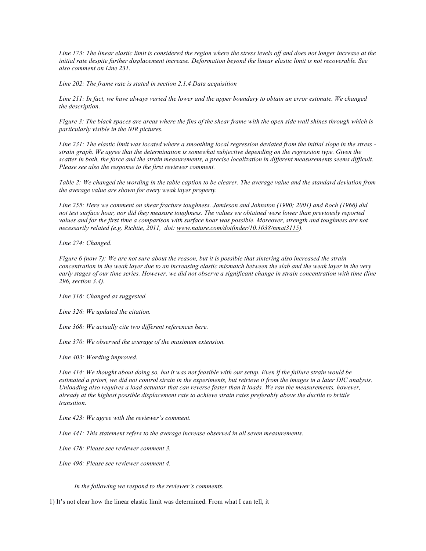*Line 173: The linear elastic limit is considered the region where the stress levels off and does not longer increase at the initial rate despite further displacement increase. Deformation beyond the linear elastic limit is not recoverable. See also comment on Line 231.* 

*Line 202: The frame rate is stated in section 2.1.4 Data acquisition*

*Line 211: In fact, we have always varied the lower and the upper boundary to obtain an error estimate. We changed the description.*

*Figure 3: The black spaces are areas where the fins of the shear frame with the open side wall shines through which is particularly visible in the NIR pictures.*

*Line 231: The elastic limit was located where a smoothing local regression deviated from the initial slope in the stress strain graph. We agree that the determination is somewhat subjective depending on the regression type. Given the scatter in both, the force and the strain measurements, a precise localization in different measurements seems difficult. Please see also the response to the first reviewer comment.*

*Table 2: We changed the wording in the table caption to be clearer. The average value and the standard deviation from the average value are shown for every weak layer property.*

*Line 255: Here we comment on shear fracture toughness. Jamieson and Johnston (1990; 2001) and Roch (1966) did not test surface hoar, nor did they measure toughness. The values we obtained were lower than previously reported values and for the first time a comparison with surface hoar was possible. Moreover, strength and toughness are not necessarily related (e.g. Richtie, 2011, doi: www.nature.com/doifinder/10.1038/nmat3115).*

*Line 274: Changed.*

*Figure 6 (now 7): We are not sure about the reason, but it is possible that sintering also increased the strain concentration in the weak layer due to an increasing elastic mismatch between the slab and the weak layer in the very early stages of our time series. However, we did not observe a significant change in strain concentration with time (line 296, section 3.4).*

*Line 316: Changed as suggested.*

*Line 326: We updated the citation.*

*Line 368: We actually cite two different references here.*

*Line 370: We observed the average of the maximum extension.*

*Line 403: Wording improved.*

*Line 414: We thought about doing so, but it was not feasible with our setup. Even if the failure strain would be estimated a priori, we did not control strain in the experiments, but retrieve it from the images in a later DIC analysis. Unloading also requires a load actuator that can reverse faster than it loads. We ran the measurements, however, already at the highest possible displacement rate to achieve strain rates preferably above the ductile to brittle transition.*

*Line 423: We agree with the reviewer's comment.*

*Line 441: This statement refers to the average increase observed in all seven measurements.*

*Line 478: Please see reviewer comment 3.*

*Line 496: Please see reviewer comment 4.*

*In the following we respond to the reviewer's comments.*

1) It's not clear how the linear elastic limit was determined. From what I can tell, it